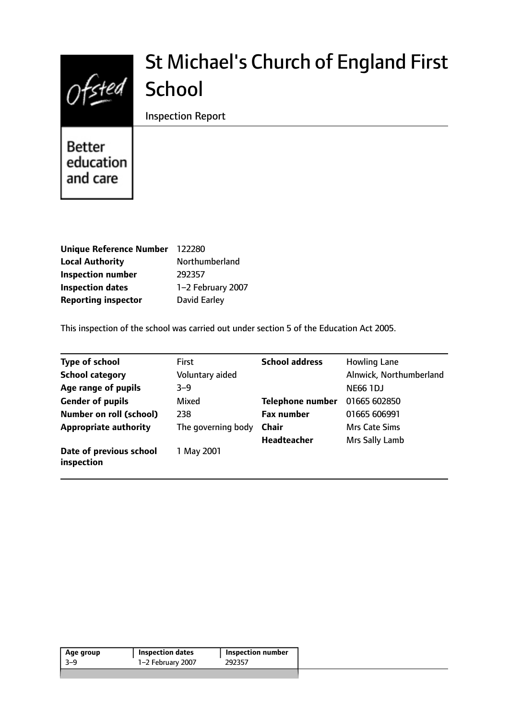

# St Michael's Church of England First **School**

Inspection Report

**Better** education and care

| Unique Reference Number 122280 |                     |
|--------------------------------|---------------------|
| <b>Local Authority</b>         | Northumberland      |
| <b>Inspection number</b>       | 292357              |
| <b>Inspection dates</b>        | 1-2 February 2007   |
| <b>Reporting inspector</b>     | <b>David Earley</b> |

This inspection of the school was carried out under section 5 of the Education Act 2005.

| <b>Type of school</b>                 | <b>First</b>       | <b>School address</b>   | <b>Howling Lane</b>     |
|---------------------------------------|--------------------|-------------------------|-------------------------|
| <b>School category</b>                | Voluntary aided    |                         | Alnwick, Northumberland |
| Age range of pupils                   | $3 - 9$            |                         | <b>NE66 1DJ</b>         |
| <b>Gender of pupils</b>               | Mixed              | <b>Telephone number</b> | 01665 602850            |
| <b>Number on roll (school)</b>        | 238                | <b>Fax number</b>       | 01665 606991            |
| <b>Appropriate authority</b>          | The governing body | <b>Chair</b>            | Mrs Cate Sims           |
|                                       |                    | <b>Headteacher</b>      | Mrs Sally Lamb          |
| Date of previous school<br>inspection | 1 May 2001         |                         |                         |

| Age group | <b>Inspection dates</b> | Inspection number |
|-----------|-------------------------|-------------------|
| -3–9      | 1-2 February 2007       | 292357            |
|           |                         |                   |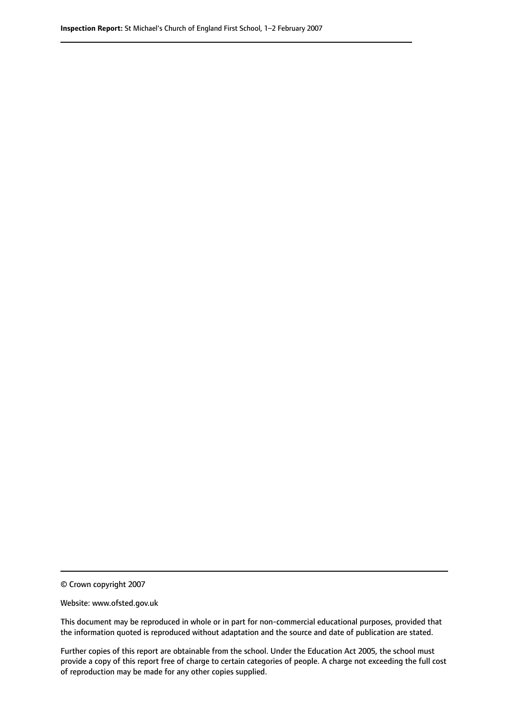© Crown copyright 2007

Website: www.ofsted.gov.uk

This document may be reproduced in whole or in part for non-commercial educational purposes, provided that the information quoted is reproduced without adaptation and the source and date of publication are stated.

Further copies of this report are obtainable from the school. Under the Education Act 2005, the school must provide a copy of this report free of charge to certain categories of people. A charge not exceeding the full cost of reproduction may be made for any other copies supplied.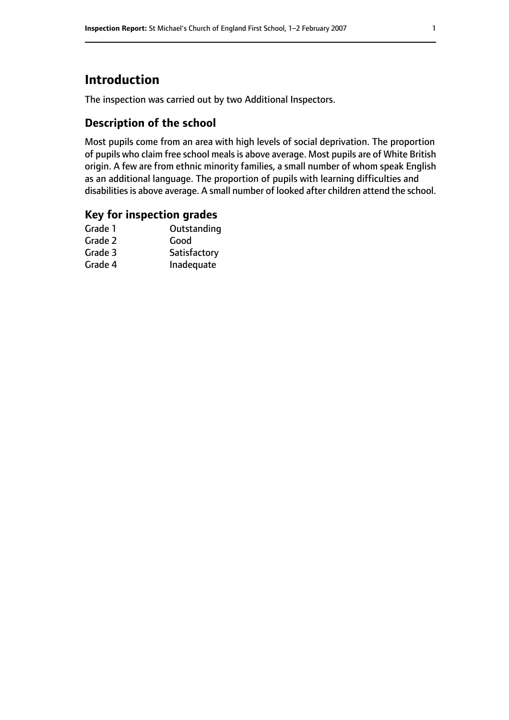# **Introduction**

The inspection was carried out by two Additional Inspectors.

## **Description of the school**

Most pupils come from an area with high levels of social deprivation. The proportion of pupils who claim free school meals is above average. Most pupils are of White British origin. A few are from ethnic minority families, a small number of whom speak English as an additional language. The proportion of pupils with learning difficulties and disabilities is above average. A small number of looked after children attend the school.

### **Key for inspection grades**

| Good         |
|--------------|
|              |
| Satisfactory |
| Inadequate   |
|              |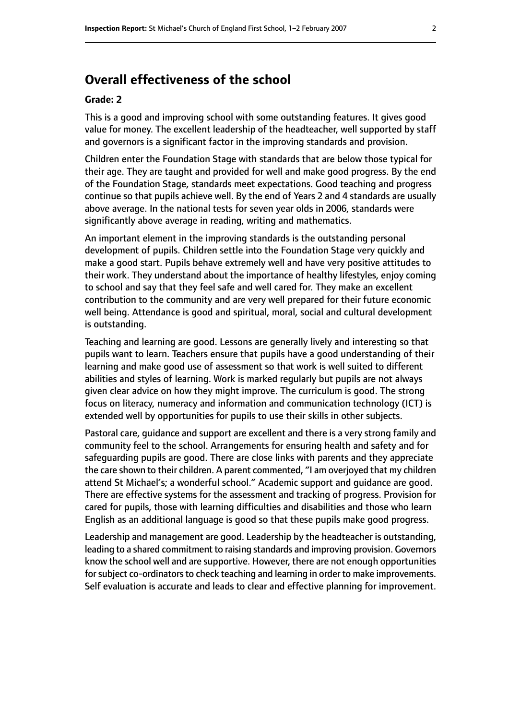# **Overall effectiveness of the school**

#### **Grade: 2**

This is a good and improving school with some outstanding features. It gives good value for money. The excellent leadership of the headteacher, well supported by staff and governors is a significant factor in the improving standards and provision.

Children enter the Foundation Stage with standards that are below those typical for their age. They are taught and provided for well and make good progress. By the end of the Foundation Stage, standards meet expectations. Good teaching and progress continue so that pupils achieve well. By the end of Years 2 and 4 standards are usually above average. In the national tests for seven year olds in 2006, standards were significantly above average in reading, writing and mathematics.

An important element in the improving standards is the outstanding personal development of pupils. Children settle into the Foundation Stage very quickly and make a good start. Pupils behave extremely well and have very positive attitudes to their work. They understand about the importance of healthy lifestyles, enjoy coming to school and say that they feel safe and well cared for. They make an excellent contribution to the community and are very well prepared for their future economic well being. Attendance is good and spiritual, moral, social and cultural development is outstanding.

Teaching and learning are good. Lessons are generally lively and interesting so that pupils want to learn. Teachers ensure that pupils have a good understanding of their learning and make good use of assessment so that work is well suited to different abilities and styles of learning. Work is marked regularly but pupils are not always given clear advice on how they might improve. The curriculum is good. The strong focus on literacy, numeracy and information and communication technology (ICT) is extended well by opportunities for pupils to use their skills in other subjects.

Pastoral care, guidance and support are excellent and there is a very strong family and community feel to the school. Arrangements for ensuring health and safety and for safeguarding pupils are good. There are close links with parents and they appreciate the care shown to their children. A parent commented, "I am overjoyed that my children attend St Michael's; a wonderful school." Academic support and guidance are good. There are effective systems for the assessment and tracking of progress. Provision for cared for pupils, those with learning difficulties and disabilities and those who learn English as an additional language is good so that these pupils make good progress.

Leadership and management are good. Leadership by the headteacher is outstanding, leading to a shared commitment to raising standards and improving provision. Governors know the school well and are supportive. However, there are not enough opportunities for subject co-ordinators to check teaching and learning in order to make improvements. Self evaluation is accurate and leads to clear and effective planning for improvement.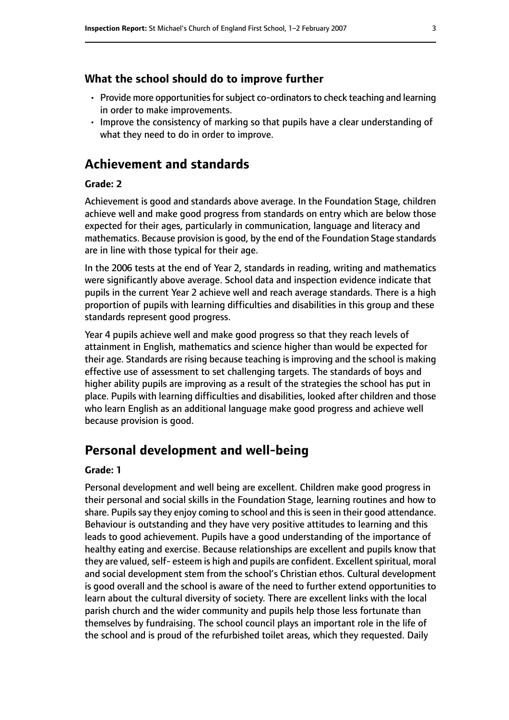#### **What the school should do to improve further**

- $\cdot$  Provide more opportunities for subject co-ordinators to check teaching and learning in order to make improvements.
- Improve the consistency of marking so that pupils have a clear understanding of what they need to do in order to improve.

# **Achievement and standards**

#### **Grade: 2**

Achievement is good and standards above average. In the Foundation Stage, children achieve well and make good progress from standards on entry which are below those expected for their ages, particularly in communication, language and literacy and mathematics. Because provision is good, by the end of the Foundation Stage standards are in line with those typical for their age.

In the 2006 tests at the end of Year 2, standards in reading, writing and mathematics were significantly above average. School data and inspection evidence indicate that pupils in the current Year 2 achieve well and reach average standards. There is a high proportion of pupils with learning difficulties and disabilities in this group and these standards represent good progress.

Year 4 pupils achieve well and make good progress so that they reach levels of attainment in English, mathematics and science higher than would be expected for their age. Standards are rising because teaching is improving and the school is making effective use of assessment to set challenging targets. The standards of boys and higher ability pupils are improving as a result of the strategies the school has put in place. Pupils with learning difficulties and disabilities, looked after children and those who learn English as an additional language make good progress and achieve well because provision is good.

# **Personal development and well-being**

#### **Grade: 1**

Personal development and well being are excellent. Children make good progress in their personal and social skills in the Foundation Stage, learning routines and how to share. Pupils say they enjoy coming to school and this is seen in their good attendance. Behaviour is outstanding and they have very positive attitudes to learning and this leads to good achievement. Pupils have a good understanding of the importance of healthy eating and exercise. Because relationships are excellent and pupils know that they are valued, self- esteem is high and pupils are confident. Excellent spiritual, moral and social development stem from the school's Christian ethos. Cultural development is good overall and the school is aware of the need to further extend opportunities to learn about the cultural diversity of society. There are excellent links with the local parish church and the wider community and pupils help those less fortunate than themselves by fundraising. The school council plays an important role in the life of the school and is proud of the refurbished toilet areas, which they requested. Daily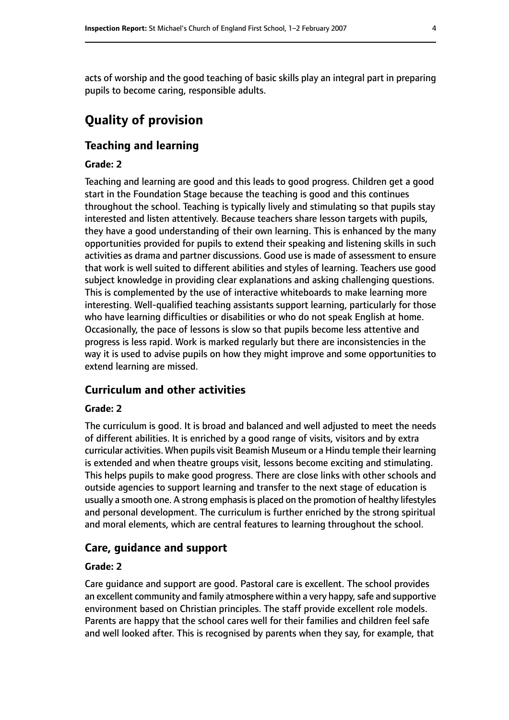acts of worship and the good teaching of basic skills play an integral part in preparing pupils to become caring, responsible adults.

# **Quality of provision**

#### **Teaching and learning**

#### **Grade: 2**

Teaching and learning are good and this leads to good progress. Children get a good start in the Foundation Stage because the teaching is good and this continues throughout the school. Teaching is typically lively and stimulating so that pupils stay interested and listen attentively. Because teachers share lesson targets with pupils, they have a good understanding of their own learning. This is enhanced by the many opportunities provided for pupils to extend their speaking and listening skills in such activities as drama and partner discussions. Good use is made of assessment to ensure that work is well suited to different abilities and styles of learning. Teachers use good subject knowledge in providing clear explanations and asking challenging questions. This is complemented by the use of interactive whiteboards to make learning more interesting. Well-qualified teaching assistants support learning, particularly for those who have learning difficulties or disabilities or who do not speak English at home. Occasionally, the pace of lessons is slow so that pupils become less attentive and progress is less rapid. Work is marked regularly but there are inconsistencies in the way it is used to advise pupils on how they might improve and some opportunities to extend learning are missed.

#### **Curriculum and other activities**

#### **Grade: 2**

The curriculum is good. It is broad and balanced and well adjusted to meet the needs of different abilities. It is enriched by a good range of visits, visitors and by extra curricular activities. When pupils visit Beamish Museum or a Hindu temple their learning is extended and when theatre groups visit, lessons become exciting and stimulating. This helps pupils to make good progress. There are close links with other schools and outside agencies to support learning and transfer to the next stage of education is usually a smooth one. A strong emphasis is placed on the promotion of healthy lifestyles and personal development. The curriculum is further enriched by the strong spiritual and moral elements, which are central features to learning throughout the school.

#### **Care, guidance and support**

#### **Grade: 2**

Care guidance and support are good. Pastoral care is excellent. The school provides an excellent community and family atmosphere within a very happy, safe and supportive environment based on Christian principles. The staff provide excellent role models. Parents are happy that the school cares well for their families and children feel safe and well looked after. This is recognised by parents when they say, for example, that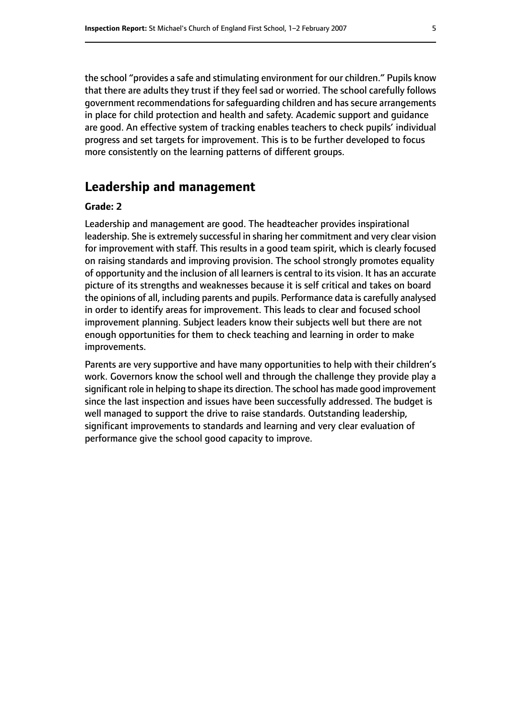the school "provides a safe and stimulating environment for our children." Pupils know that there are adults they trust if they feel sad or worried. The school carefully follows government recommendations for safeguarding children and has secure arrangements in place for child protection and health and safety. Academic support and guidance are good. An effective system of tracking enables teachers to check pupils' individual progress and set targets for improvement. This is to be further developed to focus more consistently on the learning patterns of different groups.

# **Leadership and management**

#### **Grade: 2**

Leadership and management are good. The headteacher provides inspirational leadership. She is extremely successful in sharing her commitment and very clear vision for improvement with staff. This results in a good team spirit, which is clearly focused on raising standards and improving provision. The school strongly promotes equality of opportunity and the inclusion of all learners is central to its vision. It has an accurate picture of its strengths and weaknesses because it is self critical and takes on board the opinions of all, including parents and pupils. Performance data is carefully analysed in order to identify areas for improvement. This leads to clear and focused school improvement planning. Subject leaders know their subjects well but there are not enough opportunities for them to check teaching and learning in order to make improvements.

Parents are very supportive and have many opportunities to help with their children's work. Governors know the school well and through the challenge they provide play a significant role in helping to shape its direction. The school has made good improvement since the last inspection and issues have been successfully addressed. The budget is well managed to support the drive to raise standards. Outstanding leadership, significant improvements to standards and learning and very clear evaluation of performance give the school good capacity to improve.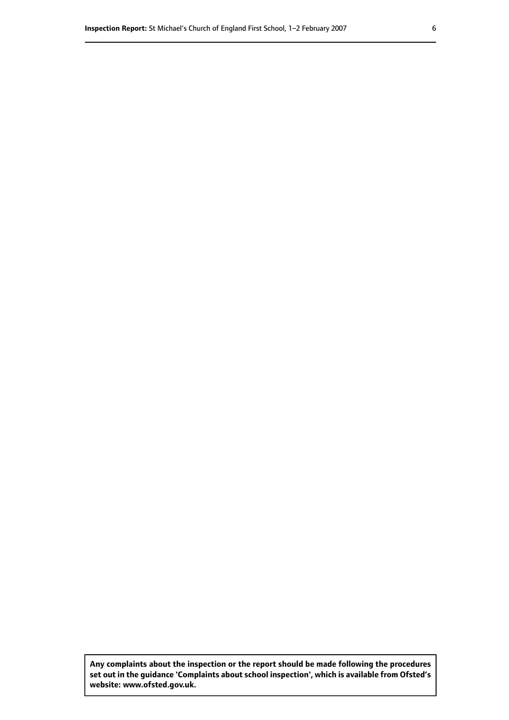**Any complaints about the inspection or the report should be made following the procedures set out inthe guidance 'Complaints about school inspection', whichis available from Ofsted's website: www.ofsted.gov.uk.**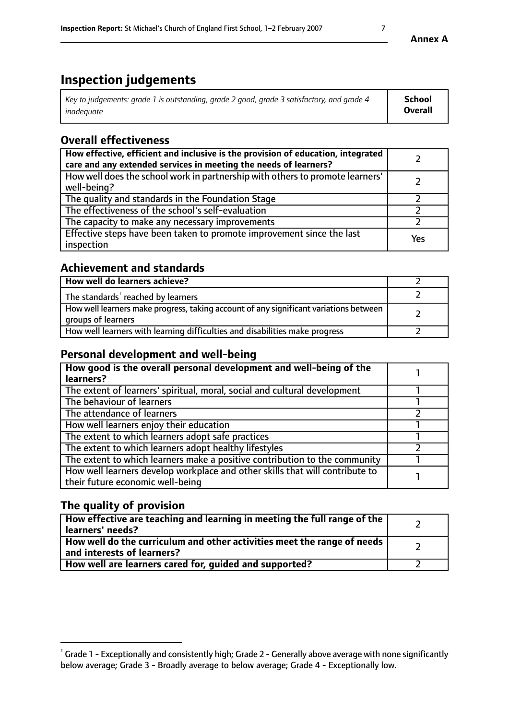# **Inspection judgements**

| Key to judgements: grade 1 is outstanding, grade 2 good, grade 3 satisfactory, and grade 4 | <b>School</b>  |
|--------------------------------------------------------------------------------------------|----------------|
| inadeauate                                                                                 | <b>Overall</b> |

# **Overall effectiveness**

| How effective, efficient and inclusive is the provision of education, integrated<br>care and any extended services in meeting the needs of learners? |     |
|------------------------------------------------------------------------------------------------------------------------------------------------------|-----|
| How well does the school work in partnership with others to promote learners'<br>well-being?                                                         |     |
| The quality and standards in the Foundation Stage                                                                                                    |     |
| The effectiveness of the school's self-evaluation                                                                                                    |     |
| The capacity to make any necessary improvements                                                                                                      |     |
| Effective steps have been taken to promote improvement since the last<br>inspection                                                                  | Yes |

# **Achievement and standards**

| How well do learners achieve?                                                                               |  |
|-------------------------------------------------------------------------------------------------------------|--|
| The standards <sup>1</sup> reached by learners                                                              |  |
| How well learners make progress, taking account of any significant variations between<br>groups of learners |  |
| How well learners with learning difficulties and disabilities make progress                                 |  |

# **Personal development and well-being**

| How good is the overall personal development and well-being of the<br>learners?                                  |  |
|------------------------------------------------------------------------------------------------------------------|--|
| The extent of learners' spiritual, moral, social and cultural development                                        |  |
| The behaviour of learners                                                                                        |  |
| The attendance of learners                                                                                       |  |
| How well learners enjoy their education                                                                          |  |
| The extent to which learners adopt safe practices                                                                |  |
| The extent to which learners adopt healthy lifestyles                                                            |  |
| The extent to which learners make a positive contribution to the community                                       |  |
| How well learners develop workplace and other skills that will contribute to<br>their future economic well-being |  |

# **The quality of provision**

| How effective are teaching and learning in meeting the full range of the<br>learners' needs?          |  |
|-------------------------------------------------------------------------------------------------------|--|
| How well do the curriculum and other activities meet the range of needs<br>and interests of learners? |  |
| How well are learners cared for, guided and supported?                                                |  |

 $^1$  Grade 1 - Exceptionally and consistently high; Grade 2 - Generally above average with none significantly below average; Grade 3 - Broadly average to below average; Grade 4 - Exceptionally low.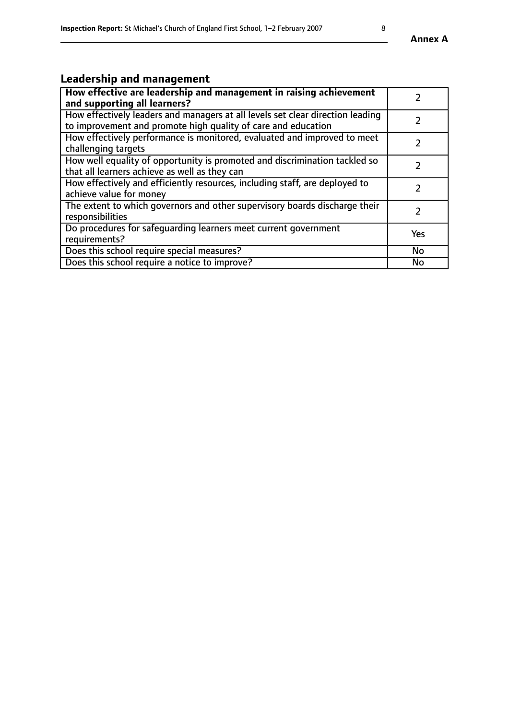# **Leadership and management**

| How effective are leadership and management in raising achievement<br>and supporting all learners?                                              |               |
|-------------------------------------------------------------------------------------------------------------------------------------------------|---------------|
| How effectively leaders and managers at all levels set clear direction leading<br>to improvement and promote high quality of care and education |               |
| How effectively performance is monitored, evaluated and improved to meet<br>challenging targets                                                 | $\mathcal{L}$ |
| How well equality of opportunity is promoted and discrimination tackled so<br>that all learners achieve as well as they can                     |               |
| How effectively and efficiently resources, including staff, are deployed to<br>achieve value for money                                          | $\mathcal{P}$ |
| The extent to which governors and other supervisory boards discharge their<br>responsibilities                                                  |               |
| Do procedures for safequarding learners meet current government<br>requirements?                                                                | Yes           |
| Does this school require special measures?                                                                                                      | No            |
| Does this school require a notice to improve?                                                                                                   | <b>No</b>     |